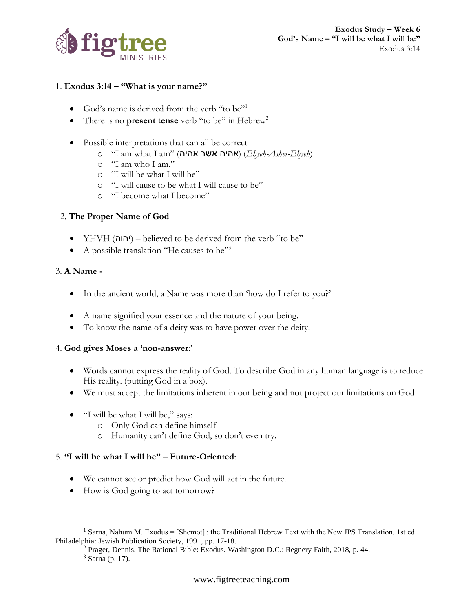

## 1. **Exodus 3:14 – "What is your name?"**

- God's name is derived from the verb "to be"<sup>1</sup>
- There is no **present tense** verb "to be" in Hebrew<sup>2</sup>
- Possible interpretations that can all be correct
	- o "I am what I am" (אהיה אשר אהיה) (*Ehyeh-Asher-Ehyeh*)
	- o "I am who I am."
	- o "I will be what I will be"
	- o "I will cause to be what I will cause to be"
	- o "I become what I become"

# 2. **The Proper Name of God**

- YHVH (יהוה) believed to be derived from the verb "to be"
- A possible translation "He causes to be"<sup>3</sup>

## 3. **A Name -**

- In the ancient world, a Name was more than 'how do I refer to you?'
- A name signified your essence and the nature of your being.
- To know the name of a deity was to have power over the deity.

#### 4. **God gives Moses a 'non-answer**:'

- Words cannot express the reality of God. To describe God in any human language is to reduce His reality. (putting God in a box).
- We must accept the limitations inherent in our being and not project our limitations on God.
- "I will be what I will be," says:
	- o Only God can define himself
	- o Humanity can't define God, so don't even try.

# 5. **"I will be what I will be" – Future-Oriented**:

- We cannot see or predict how God will act in the future.
- How is God going to act tomorrow?

<sup>&</sup>lt;sup>1</sup> Sarna, Nahum M. Exodus = [Shemot] : the Traditional Hebrew Text with the New JPS Translation. 1st ed. Philadelphia: Jewish Publication Society, 1991, pp. 17-18.

<sup>2</sup> Prager, Dennis. The Rational Bible: Exodus. Washington D.C.: Regnery Faith, 2018, p. 44.

 $3$  Sarna (p. 17).